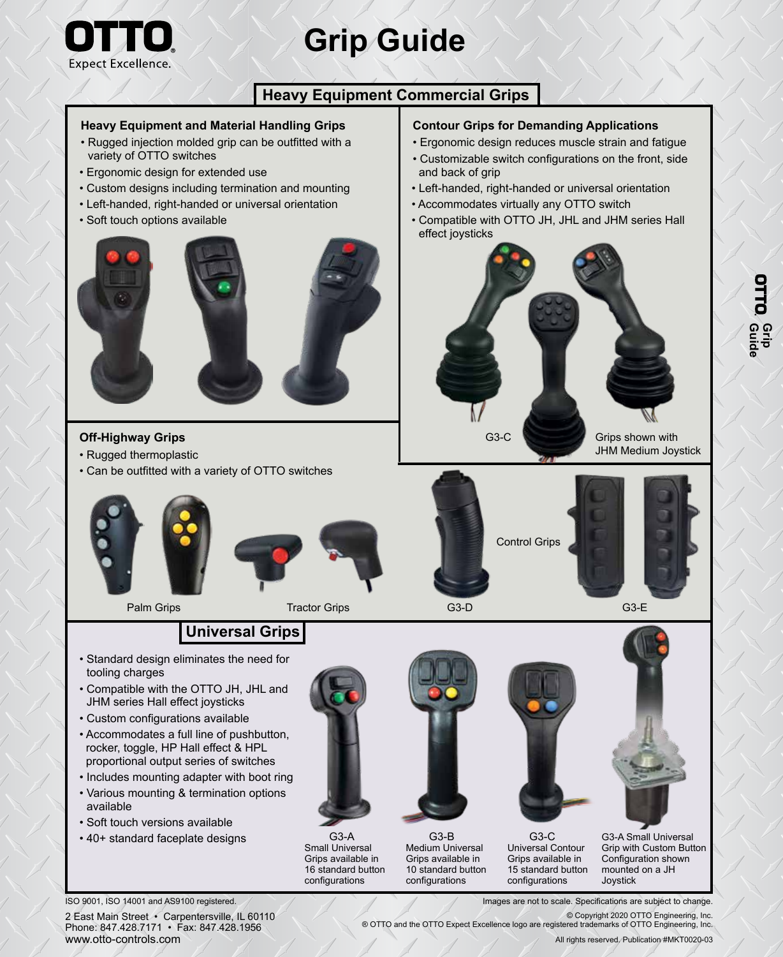

# **Grip Guide**

### **Heavy Equipment Commercial Grips**

#### **Heavy Equipment and Material Handling Grips**

- Rugged injection molded grip can be outfitted with a variety of OTTO switches
- Ergonomic design for extended use
- Custom designs including termination and mounting
- Left-handed, right-handed or universal orientation
- Soft touch options available



#### **Off-Highway Grips**

- Rugged thermoplastic
- Can be outfitted with a variety of OTTO switches







Palm Grips Tractor Grips C3-D

#### **Contour Grips for Demanding Applications**

- Ergonomic design reduces muscle strain and fatigue
- Customizable switch configurations on the front, side and back of grip
- Left-handed, right-handed or universal orientation
- Accommodates virtually any OTTO switch
- Compatible with OTTO JH, JHL and JHM series Hall effect joysticks



JHM Medium Joystick



G3-E

## **Universal Grips**

- Standard design eliminates the need for tooling charges
- Compatible with the OTTO JH, JHL and JHM series Hall effect joysticks
- Custom configurations available
- Accommodates a full line of pushbutton, rocker, toggle, HP Hall effect & HPL proportional output series of switches
- Includes mounting adapter with boot ring
- Various mounting & termination options available
- Soft touch versions available

ISO 9001, ISO 14001 and AS9100 registered.

• 40+ standard faceplate designs



Small Universal Grips available in 16 standard button configurations



G3-A G3-B G3-C Medium Universal Grips available in 10 standard button configurations



G3-A Small Universal Grip with Custom Button Configuration shown mounted on a JH Joystick

Images are not to scale. Specifications are subject to change.

© Copyright 2020 OTTO Engineering, Inc. ® OTTO and the OTTO Expect Excellence logo are registered trademarks of OTTO Engineering, Inc.

15 standard button configurations

All rights reserved. Publication #MKT0020-03

2 East Main Street • Carpentersville, IL 60110 Phone: 847.428.7171 • Fax: 847.428.1956 www.otto-controls.com